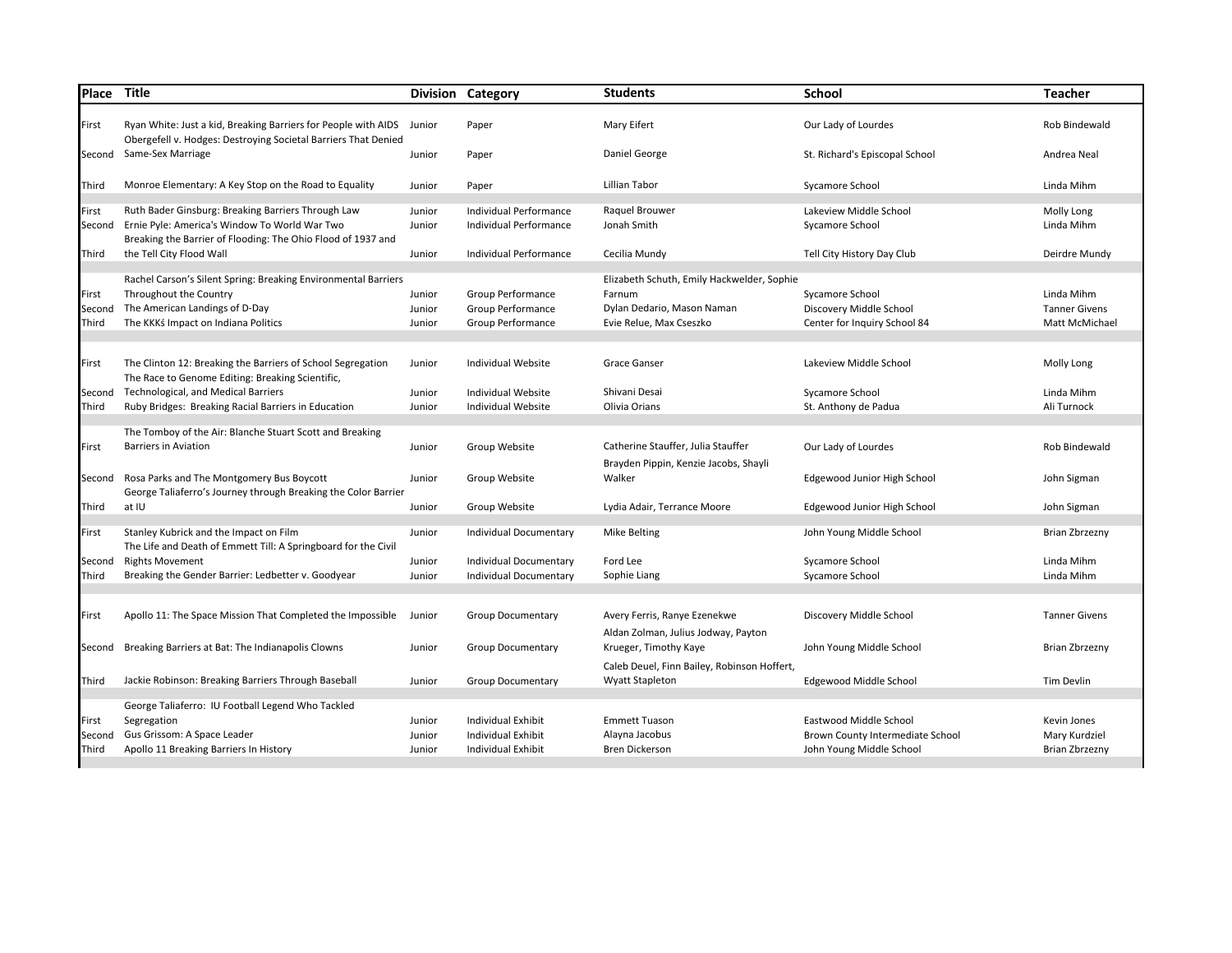| Place                    | Title                                                                                                                                                               |                            | <b>Division Category</b>                                    | <b>Students</b>                                                                                               | <b>School</b>                                                              | <b>Teacher</b>                                       |
|--------------------------|---------------------------------------------------------------------------------------------------------------------------------------------------------------------|----------------------------|-------------------------------------------------------------|---------------------------------------------------------------------------------------------------------------|----------------------------------------------------------------------------|------------------------------------------------------|
| First                    | Ryan White: Just a kid, Breaking Barriers for People with AIDS<br>Obergefell v. Hodges: Destroying Societal Barriers That Denied                                    | Junior                     | Paper                                                       | Mary Eifert                                                                                                   | Our Lady of Lourdes                                                        | Rob Bindewald                                        |
|                          | Second Same-Sex Marriage                                                                                                                                            | Junior                     | Paper                                                       | Daniel George                                                                                                 | St. Richard's Episcopal School                                             | Andrea Neal                                          |
| Third                    | Monroe Elementary: A Key Stop on the Road to Equality                                                                                                               | Junior                     | Paper                                                       | Lillian Tabor                                                                                                 | Sycamore School                                                            | Linda Mihm                                           |
| First<br>Second          | Ruth Bader Ginsburg: Breaking Barriers Through Law<br>Ernie Pyle: America's Window To World War Two<br>Breaking the Barrier of Flooding: The Ohio Flood of 1937 and | Junior<br>Junior           | Individual Performance<br>Individual Performance            | Raquel Brouwer<br>Jonah Smith                                                                                 | Lakeview Middle School<br>Sycamore School                                  | Molly Long<br>Linda Mihm                             |
| Third                    | the Tell City Flood Wall                                                                                                                                            | Junior                     | Individual Performance                                      | Cecilia Mundy                                                                                                 | Tell City History Day Club                                                 | Deirdre Mundy                                        |
| First<br>Second<br>Third | Rachel Carson's Silent Spring: Breaking Environmental Barriers<br>Throughout the Country<br>The American Landings of D-Day<br>The KKKś Impact on Indiana Politics   | Junior<br>Junior<br>Junior | Group Performance<br>Group Performance<br>Group Performance | Elizabeth Schuth, Emily Hackwelder, Sophie<br>Farnum<br>Dylan Dedario, Mason Naman<br>Evie Relue, Max Cseszko | Sycamore School<br>Discovery Middle School<br>Center for Inquiry School 84 | Linda Mihm<br><b>Tanner Givens</b><br>Matt McMichael |
| First                    | The Clinton 12: Breaking the Barriers of School Segregation<br>The Race to Genome Editing: Breaking Scientific,                                                     | Junior                     | Individual Website                                          | Grace Ganser                                                                                                  | Lakeview Middle School                                                     | Molly Long                                           |
| Second<br>Third          | <b>Technological, and Medical Barriers</b><br>Ruby Bridges: Breaking Racial Barriers in Education                                                                   | Junior<br>Junior           | Individual Website<br><b>Individual Website</b>             | Shivani Desai<br>Olivia Orians                                                                                | Sycamore School<br>St. Anthony de Padua                                    | Linda Mihm<br>Ali Turnock                            |
| First                    | The Tomboy of the Air: Blanche Stuart Scott and Breaking<br><b>Barriers in Aviation</b>                                                                             | Junior                     | Group Website                                               | Catherine Stauffer, Julia Stauffer<br>Brayden Pippin, Kenzie Jacobs, Shayli                                   | Our Lady of Lourdes                                                        | Rob Bindewald                                        |
| Second                   | Rosa Parks and The Montgomery Bus Boycott<br>George Taliaferro's Journey through Breaking the Color Barrier                                                         | Junior                     | Group Website                                               | Walker                                                                                                        | Edgewood Junior High School                                                | John Sigman                                          |
| Third                    | at IU                                                                                                                                                               | Junior                     | Group Website                                               | Lydia Adair, Terrance Moore                                                                                   | Edgewood Junior High School                                                | John Sigman                                          |
| First                    | Stanley Kubrick and the Impact on Film<br>The Life and Death of Emmett Till: A Springboard for the Civil                                                            | Junior                     | Individual Documentary                                      | <b>Mike Belting</b>                                                                                           | John Young Middle School                                                   | Brian Zbrzezny                                       |
| Second                   | <b>Rights Movement</b>                                                                                                                                              | Junior                     | Individual Documentary                                      | Ford Lee                                                                                                      | Sycamore School                                                            | Linda Mihm                                           |
| Third                    | Breaking the Gender Barrier: Ledbetter v. Goodyear                                                                                                                  | Junior                     | Individual Documentary                                      | Sophie Liang                                                                                                  | Sycamore School                                                            | Linda Mihm                                           |
| First                    | Apollo 11: The Space Mission That Completed the Impossible                                                                                                          | Junior                     | <b>Group Documentary</b>                                    | Avery Ferris, Ranye Ezenekwe<br>Aldan Zolman, Julius Jodway, Payton                                           | Discovery Middle School                                                    | <b>Tanner Givens</b>                                 |
| Second                   | Breaking Barriers at Bat: The Indianapolis Clowns                                                                                                                   | Junior                     | <b>Group Documentary</b>                                    | Krueger, Timothy Kaye                                                                                         | John Young Middle School                                                   | <b>Brian Zbrzezny</b>                                |
| Third                    | Jackie Robinson: Breaking Barriers Through Baseball                                                                                                                 | Junior                     | <b>Group Documentary</b>                                    | Caleb Deuel, Finn Bailey, Robinson Hoffert,<br><b>Wyatt Stapleton</b>                                         | Edgewood Middle School                                                     | <b>Tim Devlin</b>                                    |
|                          | George Taliaferro: IU Football Legend Who Tackled                                                                                                                   |                            |                                                             |                                                                                                               |                                                                            |                                                      |
| First                    | Segregation                                                                                                                                                         | Junior                     | Individual Exhibit                                          | <b>Emmett Tuason</b>                                                                                          | Eastwood Middle School                                                     | Kevin Jones                                          |
| Second                   | Gus Grissom: A Space Leader                                                                                                                                         | Junior                     | Individual Exhibit                                          | Alayna Jacobus                                                                                                | Brown County Intermediate School                                           | Mary Kurdziel                                        |
| Third                    | Apollo 11 Breaking Barriers In History                                                                                                                              | Junior                     | Individual Exhibit                                          | <b>Bren Dickerson</b>                                                                                         | John Young Middle School                                                   | <b>Brian Zbrzezny</b>                                |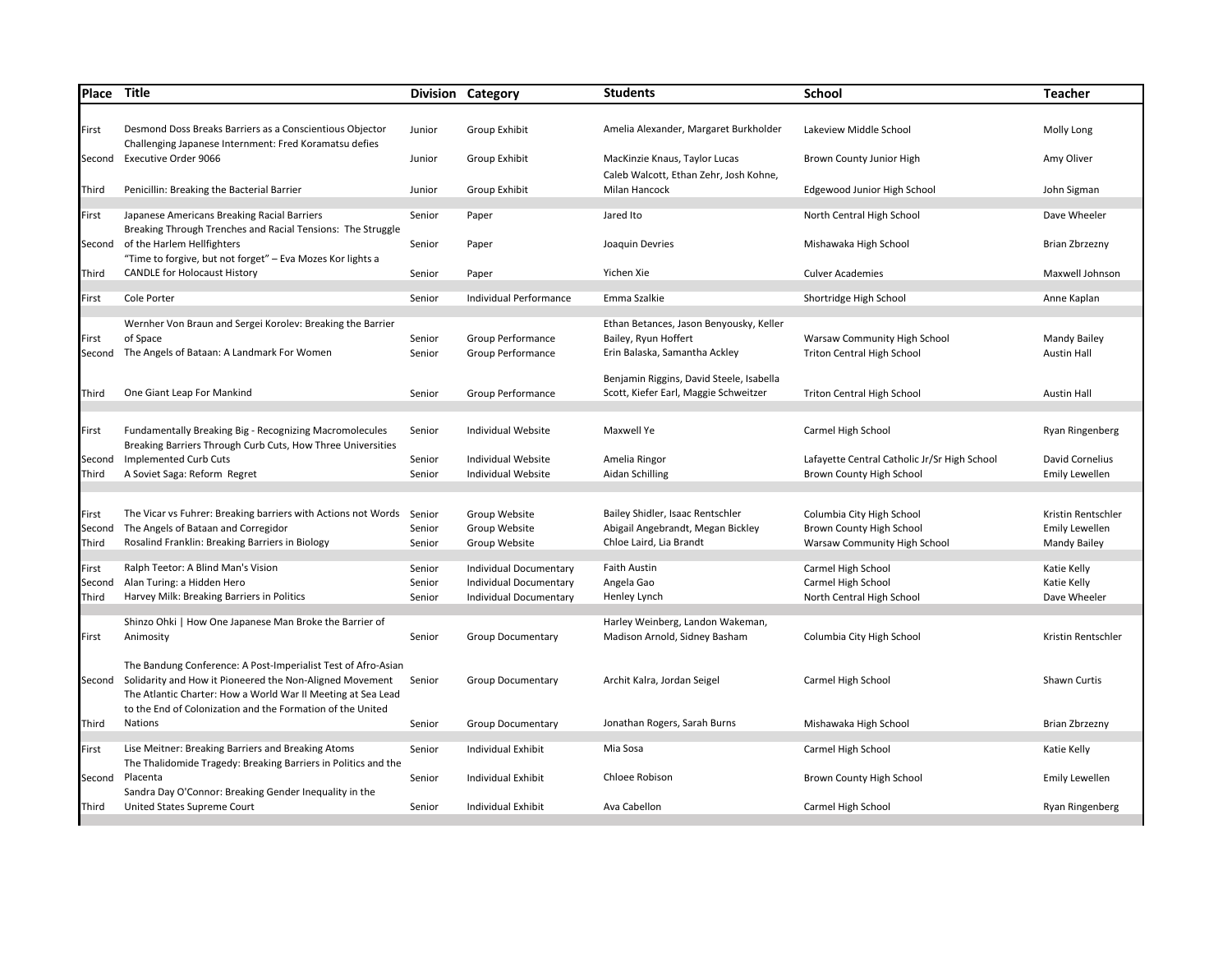| Place  | Title                                                                                                                  |        | Division Category         | <b>Students</b>                          | <b>School</b>                                | <b>Teacher</b>        |
|--------|------------------------------------------------------------------------------------------------------------------------|--------|---------------------------|------------------------------------------|----------------------------------------------|-----------------------|
|        |                                                                                                                        |        |                           |                                          |                                              |                       |
| First  | Desmond Doss Breaks Barriers as a Conscientious Objector<br>Challenging Japanese Internment: Fred Koramatsu defies     | Junior | Group Exhibit             | Amelia Alexander, Margaret Burkholder    | Lakeview Middle School                       | Molly Long            |
| Second | <b>Executive Order 9066</b>                                                                                            | Junior | Group Exhibit             | MacKinzie Knaus, Taylor Lucas            | Brown County Junior High                     | Amy Oliver            |
|        |                                                                                                                        |        |                           | Caleb Walcott, Ethan Zehr, Josh Kohne,   |                                              |                       |
| Third  | Penicillin: Breaking the Bacterial Barrier                                                                             | Junior | Group Exhibit             | Milan Hancock                            | Edgewood Junior High School                  | John Sigman           |
| First  | Japanese Americans Breaking Racial Barriers                                                                            | Senior | Paper                     | Jared Ito                                | North Central High School                    | Dave Wheeler          |
|        | Breaking Through Trenches and Racial Tensions: The Struggle<br>Second of the Harlem Hellfighters                       | Senior | Paper                     | Joaquin Devries                          | Mishawaka High School                        | Brian Zbrzezny        |
|        | "Time to forgive, but not forget" - Eva Mozes Kor lights a                                                             |        |                           |                                          |                                              |                       |
| Third  | <b>CANDLE for Holocaust History</b>                                                                                    | Senior | Paper                     | Yichen Xie                               | <b>Culver Academies</b>                      | Maxwell Johnson       |
| First  | Cole Porter                                                                                                            | Senior | Individual Performance    | Emma Szalkie                             | Shortridge High School                       | Anne Kaplan           |
|        | Wernher Von Braun and Sergei Korolev: Breaking the Barrier                                                             |        |                           | Ethan Betances, Jason Benyousky, Keller  |                                              |                       |
| First  | of Space                                                                                                               | Senior | Group Performance         | Bailey, Ryun Hoffert                     | Warsaw Community High School                 | <b>Mandy Bailey</b>   |
|        | Second The Angels of Bataan: A Landmark For Women                                                                      | Senior | Group Performance         | Erin Balaska, Samantha Ackley            | <b>Triton Central High School</b>            | <b>Austin Hall</b>    |
|        |                                                                                                                        |        |                           | Benjamin Riggins, David Steele, Isabella |                                              |                       |
| Third  | One Giant Leap For Mankind                                                                                             | Senior | Group Performance         | Scott, Kiefer Earl, Maggie Schweitzer    | <b>Triton Central High School</b>            | <b>Austin Hall</b>    |
|        |                                                                                                                        |        |                           |                                          |                                              |                       |
| First  | Fundamentally Breaking Big - Recognizing Macromolecules<br>Breaking Barriers Through Curb Cuts, How Three Universities | Senior | Individual Website        | Maxwell Ye                               | Carmel High School                           | Ryan Ringenberg       |
| Second | Implemented Curb Cuts                                                                                                  | Senior | Individual Website        | Amelia Ringor                            | Lafayette Central Catholic Jr/Sr High School | David Cornelius       |
| Third  | A Soviet Saga: Reform Regret                                                                                           | Senior | <b>Individual Website</b> | Aidan Schilling                          | Brown County High School                     | <b>Emily Lewellen</b> |
|        |                                                                                                                        |        |                           |                                          |                                              |                       |
| First  | The Vicar vs Fuhrer: Breaking barriers with Actions not Words                                                          | Senior | Group Website             | Bailey Shidler, Isaac Rentschler         | Columbia City High School                    | Kristin Rentschler    |
| Second | The Angels of Bataan and Corregidor                                                                                    | Senior | Group Website             | Abigail Angebrandt, Megan Bickley        | Brown County High School                     | <b>Emily Lewellen</b> |
| Third  | Rosalind Franklin: Breaking Barriers in Biology                                                                        | Senior | Group Website             | Chloe Laird. Lia Brandt                  | Warsaw Community High School                 | <b>Mandy Bailey</b>   |
| First  | Ralph Teetor: A Blind Man's Vision                                                                                     | Senior | Individual Documentary    | <b>Faith Austin</b>                      | Carmel High School                           | Katie Kelly           |
| Second | Alan Turing: a Hidden Hero                                                                                             | Senior | Individual Documentary    | Angela Gao                               | Carmel High School                           | Katie Kelly           |
| Third  | Harvey Milk: Breaking Barriers in Politics                                                                             | Senior | Individual Documentary    | Henley Lynch                             | North Central High School                    | Dave Wheeler          |
|        | Shinzo Ohki   How One Japanese Man Broke the Barrier of                                                                |        |                           | Harley Weinberg, Landon Wakeman,         |                                              |                       |
| First  | Animosity                                                                                                              | Senior | <b>Group Documentary</b>  | Madison Arnold, Sidney Basham            | Columbia City High School                    | Kristin Rentschler    |
|        | The Bandung Conference: A Post-Imperialist Test of Afro-Asian                                                          |        |                           |                                          |                                              |                       |
|        | Second Solidarity and How it Pioneered the Non-Aligned Movement                                                        | Senior | <b>Group Documentary</b>  | Archit Kalra, Jordan Seigel              | Carmel High School                           | Shawn Curtis          |
|        | The Atlantic Charter: How a World War II Meeting at Sea Lead                                                           |        |                           |                                          |                                              |                       |
|        | to the End of Colonization and the Formation of the United                                                             |        |                           |                                          |                                              |                       |
| Third  | <b>Nations</b>                                                                                                         | Senior | <b>Group Documentary</b>  | Jonathan Rogers, Sarah Burns             | Mishawaka High School                        | Brian Zbrzezny        |
| First  | Lise Meitner: Breaking Barriers and Breaking Atoms                                                                     | Senior | Individual Exhibit        | Mia Sosa                                 | Carmel High School                           | Katie Kelly           |
|        | The Thalidomide Tragedy: Breaking Barriers in Politics and the<br>Second Placenta                                      | Senior | Individual Exhibit        | Chloee Robison                           | Brown County High School                     | <b>Emily Lewellen</b> |
|        | Sandra Day O'Connor: Breaking Gender Inequality in the                                                                 |        |                           |                                          |                                              |                       |
| Third  | United States Supreme Court                                                                                            | Senior | Individual Exhibit        | Ava Cabellon                             | Carmel High School                           | Ryan Ringenberg       |